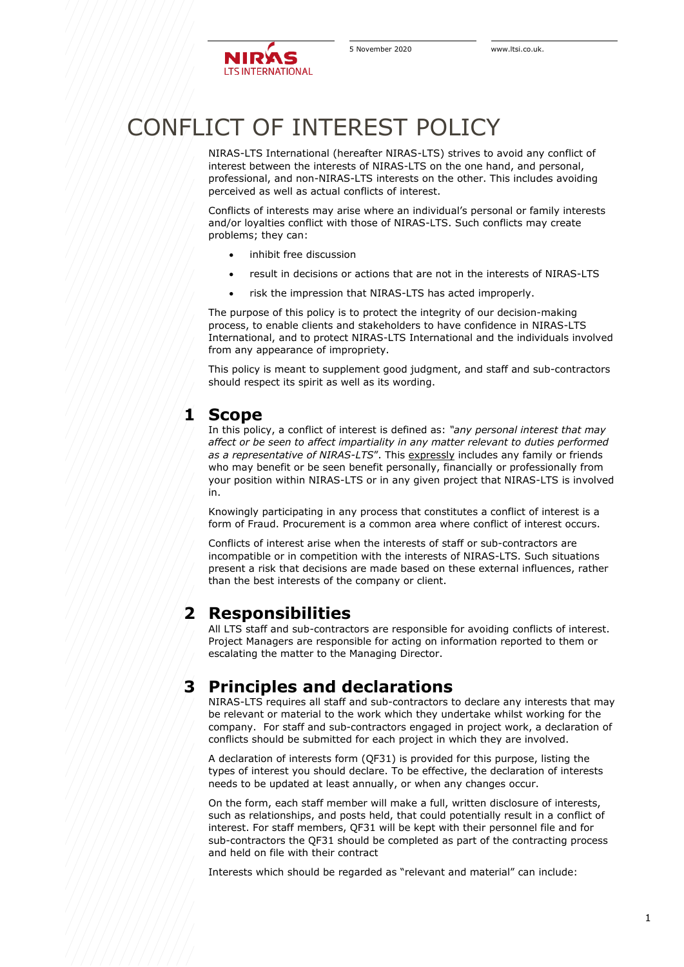# CONFLICT OF INTEREST POLICY

NIRAS-LTS International (hereafter NIRAS-LTS) strives to avoid any conflict of interest between the interests of NIRAS-LTS on the one hand, and personal, professional, and non-NIRAS-LTS interests on the other. This includes avoiding perceived as well as actual conflicts of interest.

Conflicts of interests may arise where an individual's personal or family interests and/or loyalties conflict with those of NIRAS-LTS. Such conflicts may create problems; they can:

- inhibit free discussion
- result in decisions or actions that are not in the interests of NIRAS-LTS
- risk the impression that NIRAS-LTS has acted improperly.

The purpose of this policy is to protect the integrity of our decision-making process, to enable clients and stakeholders to have confidence in NIRAS-LTS International, and to protect NIRAS-LTS International and the individuals involved from any appearance of impropriety.

This policy is meant to supplement good judgment, and staff and sub-contractors should respect its spirit as well as its wording.

#### **1 Scope**

In this policy, a conflict of interest is defined as: *"any personal interest that may affect or be seen to affect impartiality in any matter relevant to duties performed*  as a representative of NIRAS-LTS". This expressly includes any family or friends who may benefit or be seen benefit personally, financially or professionally from your position within NIRAS-LTS or in any given project that NIRAS-LTS is involved in.

Knowingly participating in any process that constitutes a conflict of interest is a form of Fraud. Procurement is a common area where conflict of interest occurs.

Conflicts of interest arise when the interests of staff or sub-contractors are incompatible or in competition with the interests of NIRAS-LTS. Such situations present a risk that decisions are made based on these external influences, rather than the best interests of the company or client.

### **2 Responsibilities**

All LTS staff and sub-contractors are responsible for avoiding conflicts of interest. Project Managers are responsible for acting on information reported to them or escalating the matter to the Managing Director.

## **3 Principles and declarations**

NIRAS-LTS requires all staff and sub-contractors to declare any interests that may be relevant or material to the work which they undertake whilst working for the company. For staff and sub-contractors engaged in project work, a declaration of conflicts should be submitted for each project in which they are involved.

A declaration of interests form (QF31) is provided for this purpose, listing the types of interest you should declare. To be effective, the declaration of interests needs to be updated at least annually, or when any changes occur.

On the form, each staff member will make a full, written disclosure of interests, such as relationships, and posts held, that could potentially result in a conflict of interest. For staff members, QF31 will be kept with their personnel file and for sub-contractors the QF31 should be completed as part of the contracting process and held on file with their contract

Interests which should be regarded as "relevant and material" can include: